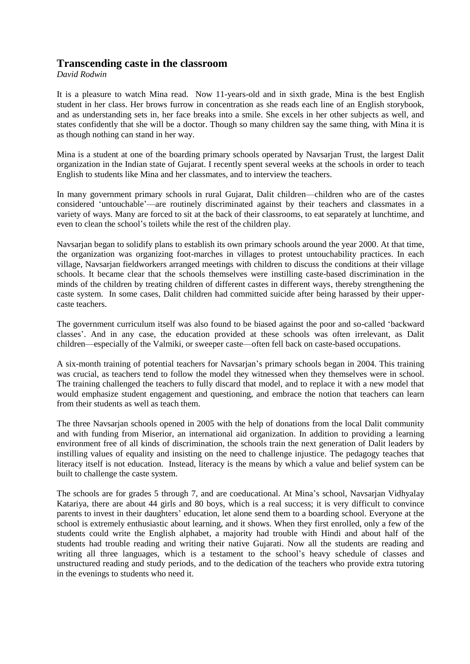## **Transcending caste in the classroom**

*David Rodwin*

It is a pleasure to watch Mina read. Now 11-years-old and in sixth grade, Mina is the best English student in her class. Her brows furrow in concentration as she reads each line of an English storybook, and as understanding sets in, her face breaks into a smile. She excels in her other subjects as well, and states confidently that she will be a doctor. Though so many children say the same thing, with Mina it is as though nothing can stand in her way.

Mina is a student at one of the boarding primary schools operated by Navsarjan Trust, the largest Dalit organization in the Indian state of Gujarat. I recently spent several weeks at the schools in order to teach English to students like Mina and her classmates, and to interview the teachers.

In many government primary schools in rural Gujarat, Dalit children—children who are of the castes considered 'untouchable'—are routinely discriminated against by their teachers and classmates in a variety of ways. Many are forced to sit at the back of their classrooms, to eat separately at lunchtime, and even to clean the school's toilets while the rest of the children play.

Navsarjan began to solidify plans to establish its own primary schools around the year 2000. At that time, the organization was organizing foot-marches in villages to protest untouchability practices. In each village, Navsarjan fieldworkers arranged meetings with children to discuss the conditions at their village schools. It became clear that the schools themselves were instilling caste-based discrimination in the minds of the children by treating children of different castes in different ways, thereby strengthening the caste system. In some cases, Dalit children had committed suicide after being harassed by their uppercaste teachers.

The government curriculum itself was also found to be biased against the poor and so-called 'backward classes'. And in any case, the education provided at these schools was often irrelevant, as Dalit children—especially of the Valmiki, or sweeper caste—often fell back on caste-based occupations.

A six-month training of potential teachers for Navsarjan's primary schools began in 2004. This training was crucial, as teachers tend to follow the model they witnessed when they themselves were in school. The training challenged the teachers to fully discard that model, and to replace it with a new model that would emphasize student engagement and questioning, and embrace the notion that teachers can learn from their students as well as teach them.

The three Navsarjan schools opened in 2005 with the help of donations from the local Dalit community and with funding from Miserior, an international aid organization. In addition to providing a learning environment free of all kinds of discrimination, the schools train the next generation of Dalit leaders by instilling values of equality and insisting on the need to challenge injustice. The pedagogy teaches that literacy itself is not education. Instead, literacy is the means by which a value and belief system can be built to challenge the caste system.

The schools are for grades 5 through 7, and are coeducational. At Mina's school, Navsarjan Vidhyalay Katariya, there are about 44 girls and 80 boys, which is a real success; it is very difficult to convince parents to invest in their daughters' education, let alone send them to a boarding school. Everyone at the school is extremely enthusiastic about learning, and it shows. When they first enrolled, only a few of the students could write the English alphabet, a majority had trouble with Hindi and about half of the students had trouble reading and writing their native Gujarati. Now all the students are reading and writing all three languages, which is a testament to the school's heavy schedule of classes and unstructured reading and study periods, and to the dedication of the teachers who provide extra tutoring in the evenings to students who need it.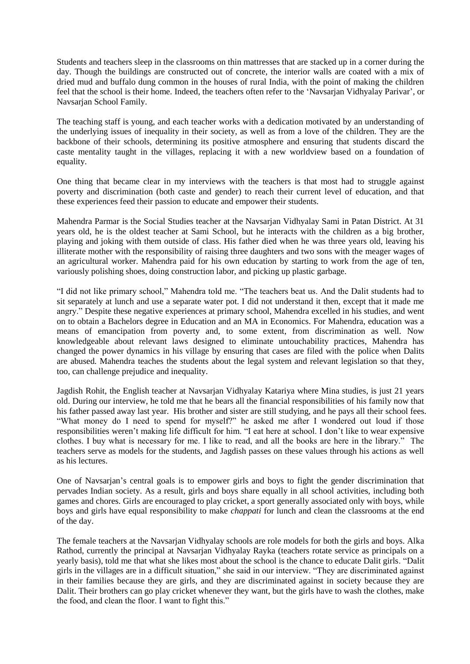Students and teachers sleep in the classrooms on thin mattresses that are stacked up in a corner during the day. Though the buildings are constructed out of concrete, the interior walls are coated with a mix of dried mud and buffalo dung common in the houses of rural India, with the point of making the children feel that the school is their home. Indeed, the teachers often refer to the 'Navsarjan Vidhyalay Parivar', or Navsarjan School Family.

The teaching staff is young, and each teacher works with a dedication motivated by an understanding of the underlying issues of inequality in their society, as well as from a love of the children. They are the backbone of their schools, determining its positive atmosphere and ensuring that students discard the caste mentality taught in the villages, replacing it with a new worldview based on a foundation of equality.

One thing that became clear in my interviews with the teachers is that most had to struggle against poverty and discrimination (both caste and gender) to reach their current level of education, and that these experiences feed their passion to educate and empower their students.

Mahendra Parmar is the Social Studies teacher at the Navsarjan Vidhyalay Sami in Patan District. At 31 years old, he is the oldest teacher at Sami School, but he interacts with the children as a big brother, playing and joking with them outside of class. His father died when he was three years old, leaving his illiterate mother with the responsibility of raising three daughters and two sons with the meager wages of an agricultural worker. Mahendra paid for his own education by starting to work from the age of ten, variously polishing shoes, doing construction labor, and picking up plastic garbage.

"I did not like primary school," Mahendra told me. "The teachers beat us. And the Dalit students had to sit separately at lunch and use a separate water pot. I did not understand it then, except that it made me angry." Despite these negative experiences at primary school, Mahendra excelled in his studies, and went on to obtain a Bachelors degree in Education and an MA in Economics. For Mahendra, education was a means of emancipation from poverty and, to some extent, from discrimination as well. Now knowledgeable about relevant laws designed to eliminate untouchability practices, Mahendra has changed the power dynamics in his village by ensuring that cases are filed with the police when Dalits are abused. Mahendra teaches the students about the legal system and relevant legislation so that they, too, can challenge prejudice and inequality.

Jagdish Rohit, the English teacher at Navsarjan Vidhyalay Katariya where Mina studies, is just 21 years old. During our interview, he told me that he bears all the financial responsibilities of his family now that his father passed away last year. His brother and sister are still studying, and he pays all their school fees. "What money do I need to spend for myself?" he asked me after I wondered out loud if those responsibilities weren't making life difficult for him. "I eat here at school. I don't like to wear expensive clothes. I buy what is necessary for me. I like to read, and all the books are here in the library." The teachers serve as models for the students, and Jagdish passes on these values through his actions as well as his lectures.

One of Navsarjan's central goals is to empower girls and boys to fight the gender discrimination that pervades Indian society. As a result, girls and boys share equally in all school activities, including both games and chores. Girls are encouraged to play cricket, a sport generally associated only with boys, while boys and girls have equal responsibility to make *chappati* for lunch and clean the classrooms at the end of the day.

The female teachers at the Navsarjan Vidhyalay schools are role models for both the girls and boys. Alka Rathod, currently the principal at Navsarjan Vidhyalay Rayka (teachers rotate service as principals on a yearly basis), told me that what she likes most about the school is the chance to educate Dalit girls. "Dalit girls in the villages are in a difficult situation," she said in our interview. "They are discriminated against in their families because they are girls, and they are discriminated against in society because they are Dalit. Their brothers can go play cricket whenever they want, but the girls have to wash the clothes, make the food, and clean the floor. I want to fight this."